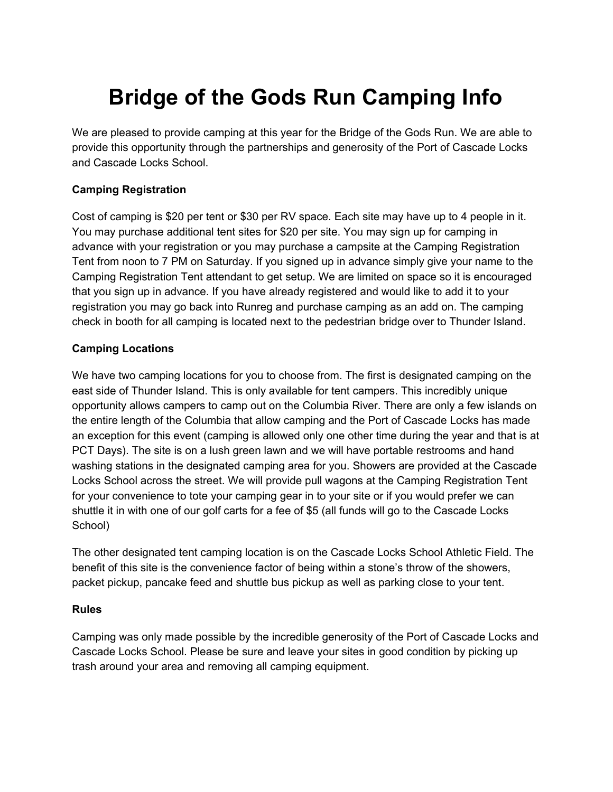## **Bridge of the Gods Run Camping Info**

We are pleased to provide camping at this year for the Bridge of the Gods Run. We are able to provide this opportunity through the partnerships and generosity of the Port of Cascade Locks and Cascade Locks School.

## **Camping Registration**

Cost of camping is \$20 per tent or \$30 per RV space. Each site may have up to 4 people in it. You may purchase additional tent sites for \$20 per site. You may sign up for camping in advance with your registration or you may purchase a campsite at the Camping Registration Tent from noon to 7 PM on Saturday. If you signed up in advance simply give your name to the Camping Registration Tent attendant to get setup. We are limited on space so it is encouraged that you sign up in advance. If you have already registered and would like to add it to your registration you may go back into Runreg and purchase camping as an add on. The camping check in booth for all camping is located next to the pedestrian bridge over to Thunder Island.

## **Camping Locations**

We have two camping locations for you to choose from. The first is designated camping on the east side of Thunder Island. This is only available for tent campers. This incredibly unique opportunity allows campers to camp out on the Columbia River. There are only a few islands on the entire length of the Columbia that allow camping and the Port of Cascade Locks has made an exception for this event (camping is allowed only one other time during the year and that is at PCT Days). The site is on a lush green lawn and we will have portable restrooms and hand washing stations in the designated camping area for you. Showers are provided at the Cascade Locks School across the street. We will provide pull wagons at the Camping Registration Tent for your convenience to tote your camping gear in to your site or if you would prefer we can shuttle it in with one of our golf carts for a fee of \$5 (all funds will go to the Cascade Locks School)

The other designated tent camping location is on the Cascade Locks School Athletic Field. The benefit of this site is the convenience factor of being within a stone's throw of the showers, packet pickup, pancake feed and shuttle bus pickup as well as parking close to your tent.

## **Rules**

Camping was only made possible by the incredible generosity of the Port of Cascade Locks and Cascade Locks School. Please be sure and leave your sites in good condition by picking up trash around your area and removing all camping equipment.